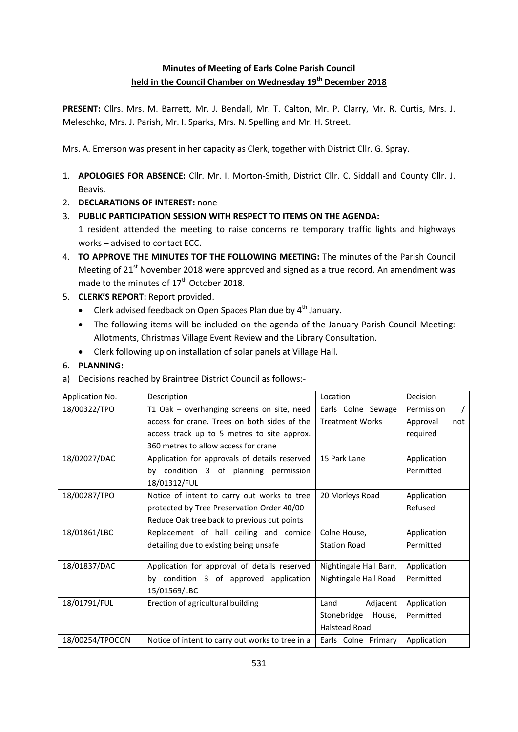## **Minutes of Meeting of Earls Colne Parish Council held in the Council Chamber on Wednesday 19th December 2018**

**PRESENT:** Cllrs. Mrs. M. Barrett, Mr. J. Bendall, Mr. T. Calton, Mr. P. Clarry, Mr. R. Curtis, Mrs. J. Meleschko, Mrs. J. Parish, Mr. I. Sparks, Mrs. N. Spelling and Mr. H. Street.

Mrs. A. Emerson was present in her capacity as Clerk, together with District Cllr. G. Spray.

- 1. **APOLOGIES FOR ABSENCE:** Cllr. Mr. I. Morton-Smith, District Cllr. C. Siddall and County Cllr. J. Beavis.
- 2. **DECLARATIONS OF INTEREST:** none
- 3. **PUBLIC PARTICIPATION SESSION WITH RESPECT TO ITEMS ON THE AGENDA:**

1 resident attended the meeting to raise concerns re temporary traffic lights and highways works – advised to contact ECC.

- 4. **TO APPROVE THE MINUTES TOF THE FOLLOWING MEETING:** The minutes of the Parish Council Meeting of  $21<sup>st</sup>$  November 2018 were approved and signed as a true record. An amendment was made to the minutes of 17<sup>th</sup> October 2018.
- 5. **CLERK'S REPORT:** Report provided.
	- $\bullet$  Clerk advised feedback on Open Spaces Plan due by  $4^{\text{th}}$  January.
	- The following items will be included on the agenda of the January Parish Council Meeting: Allotments, Christmas Village Event Review and the Library Consultation.
	- Clerk following up on installation of solar panels at Village Hall.
- 6. **PLANNING:**
- a) Decisions reached by Braintree District Council as follows:-

| Application No. | Description                                      | Location               | Decision        |
|-----------------|--------------------------------------------------|------------------------|-----------------|
| 18/00322/TPO    | T1 Oak - overhanging screens on site, need       | Earls Colne Sewage     | Permission      |
|                 | access for crane. Trees on both sides of the     | <b>Treatment Works</b> | Approval<br>not |
|                 | access track up to 5 metres to site approx.      |                        | required        |
|                 | 360 metres to allow access for crane             |                        |                 |
| 18/02027/DAC    | Application for approvals of details reserved    | 15 Park Lane           | Application     |
|                 | by condition 3 of planning permission            |                        | Permitted       |
|                 | 18/01312/FUL                                     |                        |                 |
| 18/00287/TPO    | Notice of intent to carry out works to tree      | 20 Morleys Road        | Application     |
|                 | protected by Tree Preservation Order 40/00 -     |                        | Refused         |
|                 | Reduce Oak tree back to previous cut points      |                        |                 |
| 18/01861/LBC    | Replacement of hall ceiling and cornice          | Colne House,           | Application     |
|                 | detailing due to existing being unsafe           | <b>Station Road</b>    | Permitted       |
|                 |                                                  |                        |                 |
| 18/01837/DAC    | Application for approval of details reserved     | Nightingale Hall Barn, | Application     |
|                 | by condition 3 of approved application           | Nightingale Hall Road  | Permitted       |
|                 | 15/01569/LBC                                     |                        |                 |
| 18/01791/FUL    | Erection of agricultural building                | Adjacent<br>Land       | Application     |
|                 |                                                  | Stonebridge House,     | Permitted       |
|                 |                                                  | Halstead Road          |                 |
| 18/00254/TPOCON | Notice of intent to carry out works to tree in a | Earls Colne Primary    | Application     |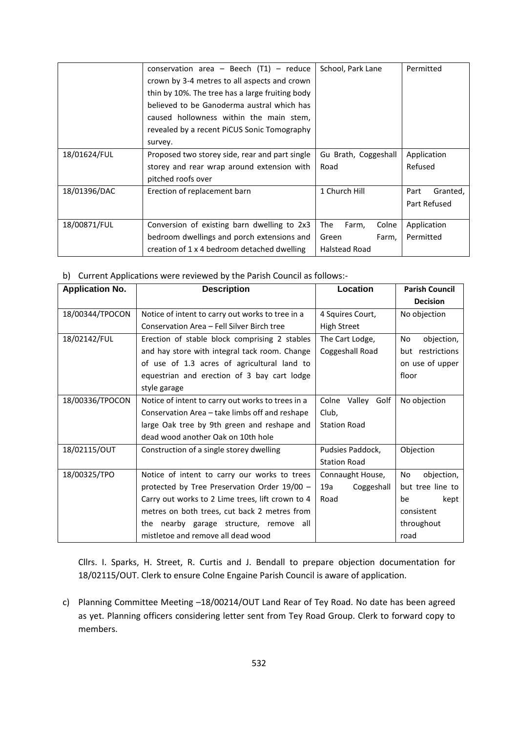|              | conservation area - Beech $(T1)$ - reduce       | School, Park Lane     | Permitted        |
|--------------|-------------------------------------------------|-----------------------|------------------|
|              | crown by 3-4 metres to all aspects and crown    |                       |                  |
|              | thin by 10%. The tree has a large fruiting body |                       |                  |
|              | believed to be Ganoderma austral which has      |                       |                  |
|              | caused hollowness within the main stem,         |                       |                  |
|              | revealed by a recent PiCUS Sonic Tomography     |                       |                  |
|              | survey.                                         |                       |                  |
| 18/01624/FUL | Proposed two storey side, rear and part single  | Gu Brath, Coggeshall  | Application      |
|              | storey and rear wrap around extension with      | Road                  | Refused          |
|              | pitched roofs over                              |                       |                  |
| 18/01396/DAC | Erection of replacement barn                    | 1 Church Hill         | Granted,<br>Part |
|              |                                                 |                       | Part Refused     |
|              |                                                 |                       |                  |
| 18/00871/FUL | Conversion of existing barn dwelling to 2x3     | The<br>Colne<br>Farm, | Application      |
|              | bedroom dwellings and porch extensions and      | Green<br>Farm,        | Permitted        |
|              | creation of 1 x 4 bedroom detached dwelling     | <b>Halstead Road</b>  |                  |

b) Current Applications were reviewed by the Parish Council as follows:-

| <b>Application No.</b> | <b>Description</b>                                | Location            | <b>Parish Council</b> |
|------------------------|---------------------------------------------------|---------------------|-----------------------|
|                        |                                                   |                     | <b>Decision</b>       |
| 18/00344/TPOCON        | Notice of intent to carry out works to tree in a  | 4 Squires Court,    | No objection          |
|                        | Conservation Area - Fell Silver Birch tree        | High Street         |                       |
| 18/02142/FUL           | Erection of stable block comprising 2 stables     | The Cart Lodge,     | objection,<br>No      |
|                        | and hay store with integral tack room. Change     | Coggeshall Road     | but restrictions      |
|                        | of use of 1.3 acres of agricultural land to       |                     | on use of upper       |
|                        | equestrian and erection of 3 bay cart lodge       |                     | floor                 |
|                        | style garage                                      |                     |                       |
| 18/00336/TPOCON        | Notice of intent to carry out works to trees in a | Colne Valley Golf   | No objection          |
|                        | Conservation Area – take limbs off and reshape    | Club,               |                       |
|                        | large Oak tree by 9th green and reshape and       | <b>Station Road</b> |                       |
|                        | dead wood another Oak on 10th hole                |                     |                       |
| 18/02115/OUT           | Construction of a single storey dwelling          | Pudsies Paddock,    | Objection             |
|                        |                                                   | <b>Station Road</b> |                       |
| 18/00325/TPO           | Notice of intent to carry our works to trees      | Connaught House,    | objection,<br>No      |
|                        | protected by Tree Preservation Order 19/00 -      | Coggeshall<br>19a   | but tree line to      |
|                        | Carry out works to 2 Lime trees, lift crown to 4  | Road                | be<br>kept            |
|                        | metres on both trees, cut back 2 metres from      |                     | consistent            |
|                        | the nearby garage structure, remove all           |                     | throughout            |
|                        | mistletoe and remove all dead wood                |                     | road                  |

Cllrs. I. Sparks, H. Street, R. Curtis and J. Bendall to prepare objection documentation for 18/02115/OUT. Clerk to ensure Colne Engaine Parish Council is aware of application.

c) Planning Committee Meeting –18/00214/OUT Land Rear of Tey Road. No date has been agreed as yet. Planning officers considering letter sent from Tey Road Group. Clerk to forward copy to members.